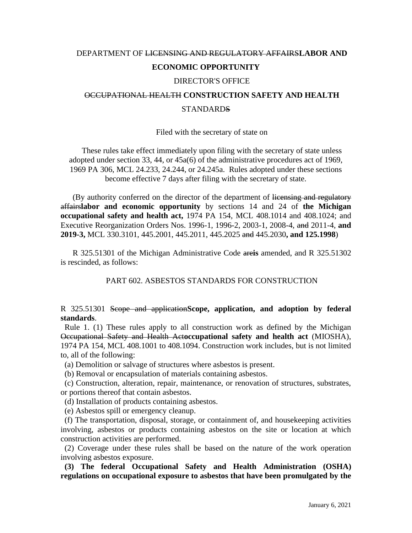# DEPARTMENT OF LICENSING AND REGULATORY AFFAIRS**LABOR AND ECONOMIC OPPORTUNITY**

### DIRECTOR'S OFFICE

# OCCUPATIONAL HEALTH **CONSTRUCTION SAFETY AND HEALTH STANDARDS**

#### Filed with the secretary of state on

These rules take effect immediately upon filing with the secretary of state unless adopted under section 33, 44, or 45a(6) of the administrative procedures act of 1969, 1969 PA 306, MCL 24.233, 24.244, or 24.245a. Rules adopted under these sections become effective 7 days after filing with the secretary of state.

(By authority conferred on the director of the department of licensing and regulatory affairs**labor and economic opportunity** by sections 14 and 24 of **the Michigan occupational safety and health act,** 1974 PA 154, MCL 408.1014 and 408.1024; and Executive Reorganization Orders Nos. 1996-1, 1996-2, 2003-1, 2008-4, and 2011-4, **and 2019-3,** MCL 330.3101, 445.2001, 445.2011, 445.2025 and 445.2030**, and 125.1998**)

R 325.51301 of the Michigan Administrative Code are**is** amended, and R 325.51302 is rescinded, as follows:

PART 602. ASBESTOS STANDARDS FOR CONSTRUCTION

## R 325.51301 Scope and application**Scope, application, and adoption by federal standards**.

Rule 1. (1) These rules apply to all construction work as defined by the Michigan Occupational Safety and Health Act**occupational safety and health act** (MIOSHA), 1974 PA 154, MCL 408.1001 to 408.1094. Construction work includes, but is not limited to, all of the following:

(a) Demolition or salvage of structures where asbestos is present.

(b) Removal or encapsulation of materials containing asbestos.

(c) Construction, alteration, repair, maintenance, or renovation of structures, substrates, or portions thereof that contain asbestos.

(d) Installation of products containing asbestos.

(e) Asbestos spill or emergency cleanup.

(f) The transportation, disposal, storage, or containment of, and housekeeping activities involving, asbestos or products containing asbestos on the site or location at which construction activities are performed.

(2) Coverage under these rules shall be based on the nature of the work operation involving asbestos exposure.

 **(3) The federal Occupational Safety and Health Administration (OSHA) regulations on occupational exposure to asbestos that have been promulgated by the**